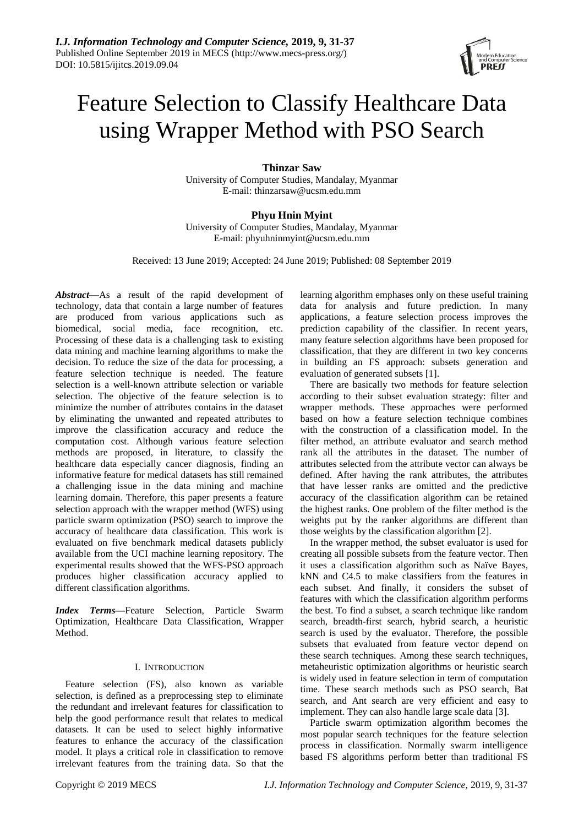

# Feature Selection to Classify Healthcare Data using Wrapper Method with PSO Search

**Thinzar Saw** University of Computer Studies, Mandalay, Myanmar E-mail: thinzarsaw@ucsm.edu.mm

**Phyu Hnin Myint** University of Computer Studies, Mandalay, Myanmar E-mail: phyuhninmyint@ucsm.edu.mm

Received: 13 June 2019; Accepted: 24 June 2019; Published: 08 September 2019

*Abstract—*As a result of the rapid development of technology, data that contain a large number of features are produced from various applications such as biomedical, social media, face recognition, etc. Processing of these data is a challenging task to existing data mining and machine learning algorithms to make the decision. To reduce the size of the data for processing, a feature selection technique is needed. The feature selection is a well-known attribute selection or variable selection. The objective of the feature selection is to minimize the number of attributes contains in the dataset by eliminating the unwanted and repeated attributes to improve the classification accuracy and reduce the computation cost. Although various feature selection methods are proposed, in literature, to classify the healthcare data especially cancer diagnosis, finding an informative feature for medical datasets has still remained a challenging issue in the data mining and machine learning domain. Therefore, this paper presents a feature selection approach with the wrapper method (WFS) using particle swarm optimization (PSO) search to improve the accuracy of healthcare data classification. This work is evaluated on five benchmark medical datasets publicly available from the UCI machine learning repository. The experimental results showed that the WFS-PSO approach produces higher classification accuracy applied to different classification algorithms.

*Index Terms—*Feature Selection, Particle Swarm Optimization, Healthcare Data Classification, Wrapper Method.

# I. INTRODUCTION

Feature selection (FS), also known as variable selection, is defined as a preprocessing step to eliminate the redundant and irrelevant features for classification to help the good performance result that relates to medical datasets. It can be used to select highly informative features to enhance the accuracy of the classification model. It plays a critical role in classification to remove irrelevant features from the training data. So that the

learning algorithm emphases only on these useful training data for analysis and future prediction. In many applications, a feature selection process improves the prediction capability of the classifier. In recent years, many feature selection algorithms have been proposed for classification, that they are different in two key concerns in building an FS approach: subsets generation and evaluation of generated subsets [1].

There are basically two methods for feature selection according to their subset evaluation strategy: filter and wrapper methods. These approaches were performed based on how a feature selection technique combines with the construction of a classification model. In the filter method, an attribute evaluator and search method rank all the attributes in the dataset. The number of attributes selected from the attribute vector can always be defined. After having the rank attributes, the attributes that have lesser ranks are omitted and the predictive accuracy of the classification algorithm can be retained the highest ranks. One problem of the filter method is the weights put by the ranker algorithms are different than those weights by the classification algorithm [2].

In the wrapper method, the subset evaluator is used for creating all possible subsets from the feature vector. Then it uses a classification algorithm such as Naïve Bayes, kNN and C4.5 to make classifiers from the features in each subset. And finally, it considers the subset of features with which the classification algorithm performs the best. To find a subset, a search technique like random search, breadth-first search, hybrid search, a heuristic search is used by the evaluator. Therefore, the possible subsets that evaluated from feature vector depend on these search techniques. Among these search techniques, metaheuristic optimization algorithms or heuristic search is widely used in feature selection in term of computation time. These search methods such as PSO search, Bat search, and Ant search are very efficient and easy to implement. They can also handle large scale data [3].

Particle swarm optimization algorithm becomes the most popular search techniques for the feature selection process in classification. Normally swarm intelligence based FS algorithms perform better than traditional FS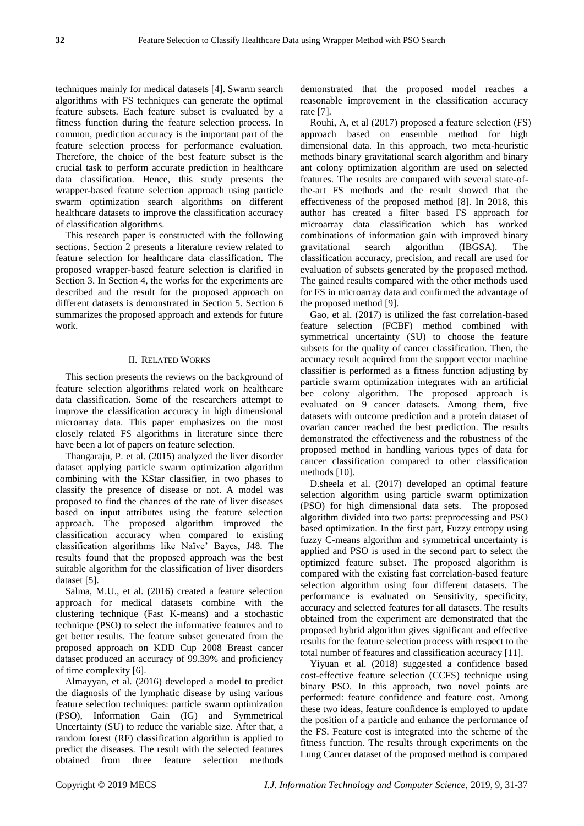techniques mainly for medical datasets [4]. Swarm search algorithms with FS techniques can generate the optimal feature subsets. Each feature subset is evaluated by a fitness function during the feature selection process. In common, prediction accuracy is the important part of the feature selection process for performance evaluation. Therefore, the choice of the best feature subset is the crucial task to perform accurate prediction in healthcare data classification. Hence, this study presents the wrapper-based feature selection approach using particle swarm optimization search algorithms on different healthcare datasets to improve the classification accuracy of classification algorithms.

This research paper is constructed with the following sections. Section 2 presents a literature review related to feature selection for healthcare data classification. The proposed wrapper-based feature selection is clarified in Section 3. In Section 4, the works for the experiments are described and the result for the proposed approach on different datasets is demonstrated in Section 5. Section 6 summarizes the proposed approach and extends for future work.

## II. RELATED WORKS

This section presents the reviews on the background of feature selection algorithms related work on healthcare data classification. Some of the researchers attempt to improve the classification accuracy in high dimensional microarray data. This paper emphasizes on the most closely related FS algorithms in literature since there have been a lot of papers on feature selection.

Thangaraju, P. et al. (2015) analyzed the liver disorder dataset applying particle swarm optimization algorithm combining with the KStar classifier, in two phases to classify the presence of disease or not. A model was proposed to find the chances of the rate of liver diseases based on input attributes using the feature selection approach. The proposed algorithm improved the classification accuracy when compared to existing classification algorithms like Naïve' Bayes, J48. The results found that the proposed approach was the best suitable algorithm for the classification of liver disorders dataset [5].

Salma, M.U., et al. (2016) created a feature selection approach for medical datasets combine with the clustering technique (Fast K-means) and a stochastic technique (PSO) to select the informative features and to get better results. The feature subset generated from the proposed approach on KDD Cup 2008 Breast cancer dataset produced an accuracy of 99.39% and proficiency of time complexity [6].

Almayyan, et al. (2016) developed a model to predict the diagnosis of the lymphatic disease by using various feature selection techniques: particle swarm optimization (PSO), Information Gain (IG) and Symmetrical Uncertainty (SU) to reduce the variable size. After that, a random forest (RF) classification algorithm is applied to predict the diseases. The result with the selected features obtained from three feature selection methods demonstrated that the proposed model reaches a reasonable improvement in the classification accuracy rate [7].

Rouhi, A, et al (2017) proposed a feature selection (FS) approach based on ensemble method for high dimensional data. In this approach, two meta-heuristic methods binary gravitational search algorithm and binary ant colony optimization algorithm are used on selected features. The results are compared with several state-ofthe-art FS methods and the result showed that the effectiveness of the proposed method [8]. In 2018, this author has created a filter based FS approach for microarray data classification which has worked combinations of information gain with improved binary gravitational search algorithm (IBGSA). The classification accuracy, precision, and recall are used for evaluation of subsets generated by the proposed method. The gained results compared with the other methods used for FS in microarray data and confirmed the advantage of the proposed method [9].

Gao, et al. (2017) is utilized the fast correlation-based feature selection (FCBF) method combined with symmetrical uncertainty (SU) to choose the feature subsets for the quality of cancer classification. Then, the accuracy result acquired from the support vector machine classifier is performed as a fitness function adjusting by particle swarm optimization integrates with an artificial bee colony algorithm. The proposed approach is evaluated on 9 cancer datasets. Among them, five datasets with outcome prediction and a protein dataset of ovarian cancer reached the best prediction. The results demonstrated the effectiveness and the robustness of the proposed method in handling various types of data for cancer classification compared to other classification methods [10].

D.sheela et al. (2017) developed an optimal feature selection algorithm using particle swarm optimization (PSO) for high dimensional data sets. The proposed algorithm divided into two parts: preprocessing and PSO based optimization. In the first part, Fuzzy entropy using fuzzy C-means algorithm and symmetrical uncertainty is applied and PSO is used in the second part to select the optimized feature subset. The proposed algorithm is compared with the existing fast correlation-based feature selection algorithm using four different datasets. The performance is evaluated on Sensitivity, specificity, accuracy and selected features for all datasets. The results obtained from the experiment are demonstrated that the proposed hybrid algorithm gives significant and effective results for the feature selection process with respect to the total number of features and classification accuracy [11].

Yiyuan et al. (2018) suggested a confidence based cost-effective feature selection (CCFS) technique using binary PSO. In this approach, two novel points are performed: feature confidence and feature cost. Among these two ideas, feature confidence is employed to update the position of a particle and enhance the performance of the FS. Feature cost is integrated into the scheme of the fitness function. The results through experiments on the Lung Cancer dataset of the proposed method is compared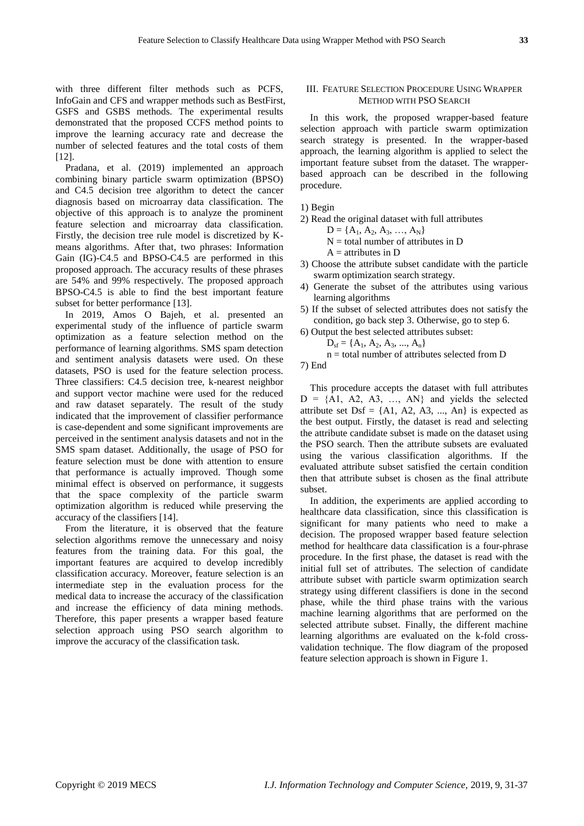with three different filter methods such as PCFS, InfoGain and CFS and wrapper methods such as BestFirst, GSFS and GSBS methods. The experimental results demonstrated that the proposed CCFS method points to improve the learning accuracy rate and decrease the number of selected features and the total costs of them [12].

Pradana, et al. (2019) implemented an approach combining binary particle swarm optimization (BPSO) and C4.5 decision tree algorithm to detect the cancer diagnosis based on microarray data classification. The objective of this approach is to analyze the prominent feature selection and microarray data classification. Firstly, the decision tree rule model is discretized by Kmeans algorithms. After that, two phrases: Information Gain (IG)-C4.5 and BPSO-C4.5 are performed in this proposed approach. The accuracy results of these phrases are 54% and 99% respectively. The proposed approach BPSO-C4.5 is able to find the best important feature subset for better performance [13].

In 2019, Amos O Bajeh, et al. presented an experimental study of the influence of particle swarm optimization as a feature selection method on the performance of learning algorithms. SMS spam detection and sentiment analysis datasets were used. On these datasets, PSO is used for the feature selection process. Three classifiers: C4.5 decision tree, k-nearest neighbor and support vector machine were used for the reduced and raw dataset separately. The result of the study indicated that the improvement of classifier performance is case-dependent and some significant improvements are perceived in the sentiment analysis datasets and not in the SMS spam dataset. Additionally, the usage of PSO for feature selection must be done with attention to ensure that performance is actually improved. Though some minimal effect is observed on performance, it suggests that the space complexity of the particle swarm optimization algorithm is reduced while preserving the accuracy of the classifiers [14].

From the literature, it is observed that the feature selection algorithms remove the unnecessary and noisy features from the training data. For this goal, the important features are acquired to develop incredibly classification accuracy. Moreover, feature selection is an intermediate step in the evaluation process for the medical data to increase the accuracy of the classification and increase the efficiency of data mining methods. Therefore, this paper presents a wrapper based feature selection approach using PSO search algorithm to improve the accuracy of the classification task.

# III. FEATURE SELECTION PROCEDURE USING WRAPPER METHOD WITH PSO SEARCH

In this work, the proposed wrapper-based feature selection approach with particle swarm optimization search strategy is presented. In the wrapper-based approach, the learning algorithm is applied to select the important feature subset from the dataset. The wrapperbased approach can be described in the following procedure.

1) Begin

- 2) Read the original dataset with full attributes
	- $D = \{A_1, A_2, A_3, ..., A_N\}$
	- $N =$  total number of attributes in D
	- $A =$ attributes in D
- 3) Choose the attribute subset candidate with the particle swarm optimization search strategy.
- 4) Generate the subset of the attributes using various learning algorithms
- 5) If the subset of selected attributes does not satisfy the condition, go back step 3. Otherwise, go to step 6.
- 6) Output the best selected attributes subset:

$$
D_{sf} = \{A_1, A_2, A_3, ..., A_n\}
$$

 $n =$  total number of attributes selected from D

7) End

This procedure accepts the dataset with full attributes  $D = \{A1, A2, A3, \ldots, AN\}$  and yields the selected attribute set  $Dsf = \{A1, A2, A3, ..., An\}$  is expected as the best output. Firstly, the dataset is read and selecting the attribute candidate subset is made on the dataset using the PSO search. Then the attribute subsets are evaluated using the various classification algorithms. If the evaluated attribute subset satisfied the certain condition then that attribute subset is chosen as the final attribute subset.

In addition, the experiments are applied according to healthcare data classification, since this classification is significant for many patients who need to make a decision. The proposed wrapper based feature selection method for healthcare data classification is a four-phrase procedure. In the first phase, the dataset is read with the initial full set of attributes. The selection of candidate attribute subset with particle swarm optimization search strategy using different classifiers is done in the second phase, while the third phase trains with the various machine learning algorithms that are performed on the selected attribute subset. Finally, the different machine learning algorithms are evaluated on the k-fold crossvalidation technique. The flow diagram of the proposed feature selection approach is shown in Figure 1.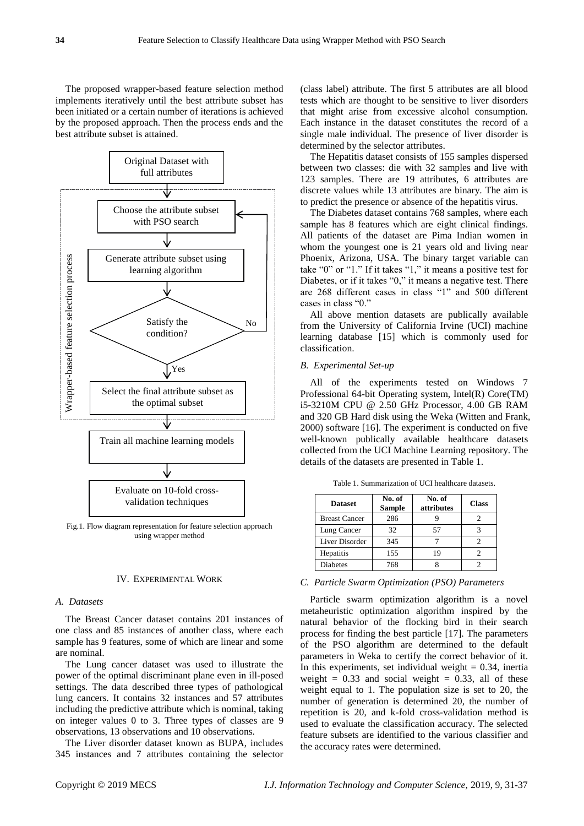The proposed wrapper-based feature selection method implements iteratively until the best attribute subset has been initiated or a certain number of iterations is achieved by the proposed approach. Then the process ends and the best attribute subset is attained.



Fig.1. Flow diagram representation for feature selection approach using wrapper method

## IV. EXPERIMENTAL WORK

#### *A. Datasets*

The Breast Cancer dataset contains 201 instances of one class and 85 instances of another class, where each sample has 9 features, some of which are linear and some are nominal.

The Lung cancer dataset was used to illustrate the power of the optimal discriminant plane even in ill-posed settings. The data described three types of pathological lung cancers. It contains 32 instances and 57 attributes including the predictive attribute which is nominal, taking on integer values 0 to 3. Three types of classes are 9 observations, 13 observations and 10 observations.

The Liver disorder dataset known as BUPA, includes 345 instances and 7 attributes containing the selector (class label) attribute. The first 5 attributes are all blood tests which are thought to be sensitive to liver disorders that might arise from excessive alcohol consumption. Each instance in the dataset constitutes the record of a single male individual. The presence of liver disorder is determined by the selector attributes.

The Hepatitis dataset consists of 155 samples dispersed between two classes: die with 32 samples and live with 123 samples. There are 19 attributes, 6 attributes are discrete values while 13 attributes are binary. The aim is to predict the presence or absence of the hepatitis virus.

The Diabetes dataset contains 768 samples, where each sample has 8 features which are eight clinical findings. All patients of the dataset are Pima Indian women in whom the youngest one is 21 years old and living near Phoenix, Arizona, USA. The binary target variable can take "0" or "1." If it takes "1," it means a positive test for Diabetes, or if it takes "0," it means a negative test. There are 268 different cases in class "1" and 500 different cases in class "0."

All above mention datasets are publically available from the University of California Irvine (UCI) machine learning database [15] which is commonly used for classification.

#### *B. Experimental Set-up*

All of the experiments tested on Windows 7 Professional 64-bit Operating system, Intel(R) Core(TM) i5-3210M CPU @ 2.50 GHz Processor, 4.00 GB RAM and 320 GB Hard disk using the Weka (Witten and Frank, 2000) software [16]. The experiment is conducted on five well-known publically available healthcare datasets collected from the UCI Machine Learning repository. The details of the datasets are presented in Table 1.

| <b>Dataset</b>       | No. of<br><b>Sample</b> | No. of<br>attributes | <b>Class</b> |
|----------------------|-------------------------|----------------------|--------------|
| <b>Breast Cancer</b> | 286                     |                      |              |
| Lung Cancer          | 32                      | 57                   |              |
| Liver Disorder       | 345                     |                      |              |
| Hepatitis            | 155                     | 19                   |              |
| <b>Diabetes</b>      | 768                     |                      |              |

Table 1. Summarization of UCI healthcare datasets.

#### *C. Particle Swarm Optimization (PSO) Parameters*

Particle swarm optimization algorithm is a novel metaheuristic optimization algorithm inspired by the natural behavior of the flocking bird in their search process for finding the best particle [17]. The parameters of the PSO algorithm are determined to the default parameters in Weka to certify the correct behavior of it. In this experiments, set individual weight  $= 0.34$ , inertia weight =  $0.33$  and social weight =  $0.33$ , all of these weight equal to 1. The population size is set to 20, the number of generation is determined 20, the number of repetition is 20, and k-fold cross-validation method is used to evaluate the classification accuracy. The selected feature subsets are identified to the various classifier and the accuracy rates were determined.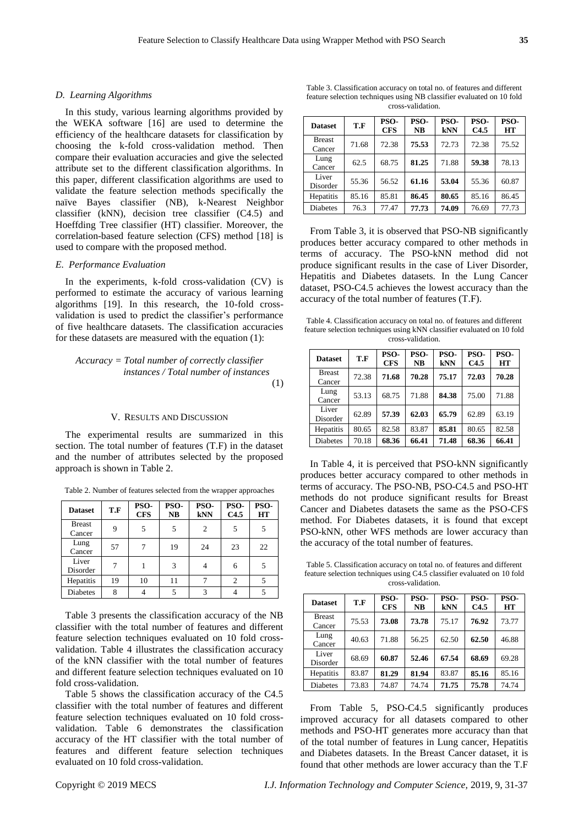## *D. Learning Algorithms*

In this study, various learning algorithms provided by the WEKA software [16] are used to determine the efficiency of the healthcare datasets for classification by choosing the k-fold cross-validation method. Then compare their evaluation accuracies and give the selected attribute set to the different classification algorithms. In this paper, different classification algorithms are used to validate the feature selection methods specifically the naïve Bayes classifier (NB), k-Nearest Neighbor classifier (kNN), decision tree classifier (C4.5) and Hoeffding Tree classifier (HT) classifier. Moreover, the correlation-based feature selection (CFS) method [18] is used to compare with the proposed method.

## *E. Performance Evaluation*

In the experiments, k-fold cross-validation (CV) is performed to estimate the accuracy of various learning algorithms [19]. In this research, the 10-fold crossvalidation is used to predict the classifier's performance of five healthcare datasets. The classification accuracies for these datasets are measured with the equation (1):

*Accuracy = Total number of correctly classifier instances / Total number of instances* (1)

#### V. RESULTS AND DISCUSSION

The experimental results are summarized in this section. The total number of features (T.F) in the dataset and the number of attributes selected by the proposed approach is shown in Table 2.

| Table 2. Number of features selected from the wrapper approaches |  |  |  |
|------------------------------------------------------------------|--|--|--|
|                                                                  |  |  |  |

| <b>Dataset</b>          | T.F | PSO-<br><b>CFS</b> | PSO-<br>NB | PSO-<br><b>kNN</b> | PSO-<br>C4.5   | PSO-<br>HT |
|-------------------------|-----|--------------------|------------|--------------------|----------------|------------|
| <b>Breast</b><br>Cancer | 9   | 5                  | 5          | 2                  | 5              | 5          |
| Lung<br>Cancer          | 57  |                    | 19         | 24                 | 23             | 22         |
| Liver<br>Disorder       |     |                    | 3          |                    | 6              |            |
| Hepatitis               | 19  | 10                 | 11         |                    | $\overline{2}$ |            |
| <b>Diabetes</b>         | 8   |                    |            | 3                  |                |            |

Table 3 presents the classification accuracy of the NB classifier with the total number of features and different feature selection techniques evaluated on 10 fold crossvalidation. Table 4 illustrates the classification accuracy of the kNN classifier with the total number of features and different feature selection techniques evaluated on 10 fold cross-validation.

Table 5 shows the classification accuracy of the C4.5 classifier with the total number of features and different feature selection techniques evaluated on 10 fold crossvalidation. Table 6 demonstrates the classification accuracy of the HT classifier with the total number of features and different feature selection techniques evaluated on 10 fold cross-validation.

Table 3. Classification accuracy on total no. of features and different feature selection techniques using NB classifier evaluated on 10 fold cross-validation.

| <b>Dataset</b>          | T.F   | PSO-<br><b>CFS</b> | PSO-<br><b>NB</b> | PSO-<br><b>kNN</b> | PSO-<br>C4.5 | PSO-<br><b>HT</b> |
|-------------------------|-------|--------------------|-------------------|--------------------|--------------|-------------------|
| <b>Breast</b><br>Cancer | 71.68 | 72.38              | 75.53             | 72.73              | 72.38        | 75.52             |
| Lung<br>Cancer          | 62.5  | 68.75              | 81.25             | 71.88              | 59.38        | 78.13             |
| Liver<br>Disorder       | 55.36 | 56.52              | 61.16             | 53.04              | 55.36        | 60.87             |
| Hepatitis               | 85.16 | 85.81              | 86.45             | 80.65              | 85.16        | 86.45             |
| <b>Diabetes</b>         | 76.3  | 77.47              | 77.73             | 74.09              | 76.69        | 77.73             |

From Table 3, it is observed that PSO-NB significantly produces better accuracy compared to other methods in terms of accuracy. The PSO-kNN method did not produce significant results in the case of Liver Disorder, Hepatitis and Diabetes datasets. In the Lung Cancer dataset, PSO-C4.5 achieves the lowest accuracy than the accuracy of the total number of features (T.F).

Table 4. Classification accuracy on total no. of features and different feature selection techniques using kNN classifier evaluated on 10 fold cross-validation.

| <b>Dataset</b>          | T.F   | PSO-<br><b>CFS</b> | PSO-<br>NB | PSO-<br><b>kNN</b> | PSO-<br>C4.5 | PSO-<br>HT |
|-------------------------|-------|--------------------|------------|--------------------|--------------|------------|
| <b>Breast</b><br>Cancer | 72.38 | 71.68              | 70.28      | 75.17              | 72.03        | 70.28      |
| Lung<br>Cancer          | 53.13 | 68.75              | 71.88      | 84.38              | 75.00        | 71.88      |
| Liver<br>Disorder       | 62.89 | 57.39              | 62.03      | 65.79              | 62.89        | 63.19      |
| Hepatitis               | 80.65 | 82.58              | 83.87      | 85.81              | 80.65        | 82.58      |
| <b>Diabetes</b>         | 70.18 | 68.36              | 66.41      | 71.48              | 68.36        | 66.41      |

In Table 4, it is perceived that PSO-kNN significantly produces better accuracy compared to other methods in terms of accuracy. The PSO-NB, PSO-C4.5 and PSO-HT methods do not produce significant results for Breast Cancer and Diabetes datasets the same as the PSO-CFS method. For Diabetes datasets, it is found that except PSO-kNN, other WFS methods are lower accuracy than the accuracy of the total number of features.

Table 5. Classification accuracy on total no. of features and different feature selection techniques using C4.5 classifier evaluated on 10 fold cross-validation.

| <b>Dataset</b>          | T.F   | PSO-<br><b>CFS</b> | PSO-<br>NB | PSO-<br><b>kNN</b> | PSO-<br>C4.5 | PSO-<br>HT |
|-------------------------|-------|--------------------|------------|--------------------|--------------|------------|
| <b>Breast</b><br>Cancer | 75.53 | 73.08              | 73.78      | 75.17              | 76.92        | 73.77      |
| Lung<br>Cancer          | 40.63 | 71.88              | 56.25      | 62.50              | 62.50        | 46.88      |
| Liver<br>Disorder       | 68.69 | 60.87              | 52.46      | 67.54              | 68.69        | 69.28      |
| Hepatitis               | 83.87 | 81.29              | 81.94      | 83.87              | 85.16        | 85.16      |
| <b>Diabetes</b>         | 73.83 | 74.87              | 74.74      | 71.75              | 75.78        | 74.74      |

From Table 5, PSO-C4.5 significantly produces improved accuracy for all datasets compared to other methods and PSO-HT generates more accuracy than that of the total number of features in Lung cancer, Hepatitis and Diabetes datasets. In the Breast Cancer dataset, it is found that other methods are lower accuracy than the T.F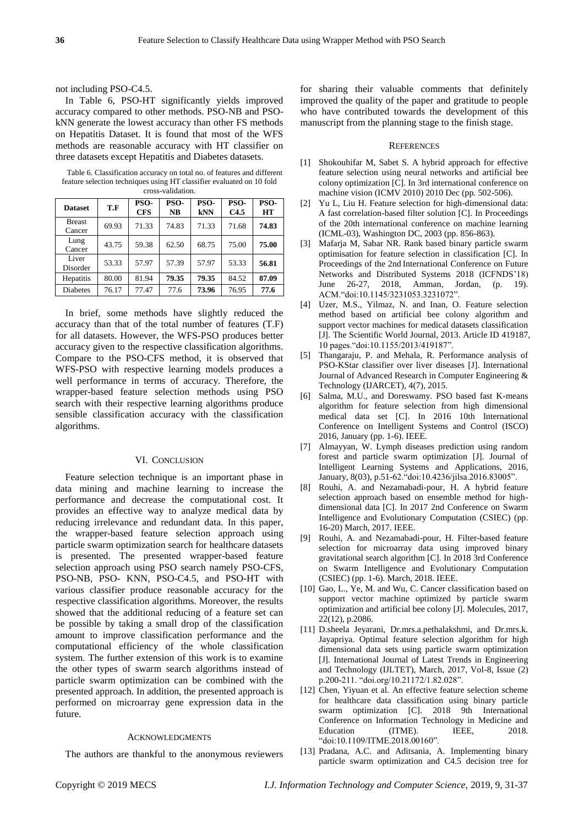# not including PSO-C4.5.

In Table 6, PSO-HT significantly yields improved accuracy compared to other methods. PSO-NB and PSOkNN generate the lowest accuracy than other FS methods on Hepatitis Dataset. It is found that most of the WFS methods are reasonable accuracy with HT classifier on three datasets except Hepatitis and Diabetes datasets.

Table 6. Classification accuracy on total no. of features and different feature selection techniques using HT classifier evaluated on 10 fold cross-validation.

| <b>Dataset</b>          | T.F   | PSO-<br><b>CFS</b> | PSO-<br>NB | PSO-<br><b>kNN</b> | PSO-<br>C4.5 | PSO-<br>HT |
|-------------------------|-------|--------------------|------------|--------------------|--------------|------------|
| <b>Breast</b><br>Cancer | 69.93 | 71.33              | 74.83      | 71.33              | 71.68        | 74.83      |
| Lung<br>Cancer          | 43.75 | 59.38              | 62.50      | 68.75              | 75.00        | 75.00      |
| Liver<br>Disorder       | 53.33 | 57.97              | 57.39      | 57.97              | 53.33        | 56.81      |
| Hepatitis               | 80.00 | 81.94              | 79.35      | 79.35              | 84.52        | 87.09      |
| <b>Diabetes</b>         | 76.17 | 77.47              | 77.6       | 73.96              | 76.95        | 77.6       |

In brief, some methods have slightly reduced the accuracy than that of the total number of features (T.F) for all datasets. However, the WFS-PSO produces better accuracy given to the respective classification algorithms. Compare to the PSO-CFS method, it is observed that WFS-PSO with respective learning models produces a well performance in terms of accuracy. Therefore, the wrapper-based feature selection methods using PSO search with their respective learning algorithms produce sensible classification accuracy with the classification algorithms.

## VI. CONCLUSION

Feature selection technique is an important phase in data mining and machine learning to increase the performance and decrease the computational cost. It provides an effective way to analyze medical data by reducing irrelevance and redundant data. In this paper, the wrapper-based feature selection approach using particle swarm optimization search for healthcare datasets is presented. The presented wrapper-based feature selection approach using PSO search namely PSO-CFS, PSO-NB, PSO- KNN, PSO-C4.5, and PSO-HT with various classifier produce reasonable accuracy for the respective classification algorithms. Moreover, the results showed that the additional reducing of a feature set can be possible by taking a small drop of the classification amount to improve classification performance and the computational efficiency of the whole classification system. The further extension of this work is to examine the other types of swarm search algorithms instead of particle swarm optimization can be combined with the presented approach. In addition, the presented approach is performed on microarray gene expression data in the future.

## ACKNOWLEDGMENTS

The authors are thankful to the anonymous reviewers

for sharing their valuable comments that definitely improved the quality of the paper and gratitude to people who have contributed towards the development of this manuscript from the planning stage to the finish stage.

#### **REFERENCES**

- [1] Shokouhifar M, Sabet S. A hybrid approach for effective feature selection using neural networks and artificial bee colony optimization [C]. In 3rd international conference on machine vision (ICMV 2010) 2010 Dec (pp. 502-506).
- [2] Yu L, Liu H. Feature selection for high-dimensional data: A fast correlation-based filter solution [C]. In Proceedings of the 20th international conference on machine learning (ICML-03), Washington DC, 2003 (pp. 856-863).
- [3] Mafarja M, Sabar NR. Rank based binary particle swarm optimisation for feature selection in classification [C]. In Proceedings of the 2nd International Conference on Future Networks and Distributed Systems 2018 (ICFNDS'18) June 26-27, 2018, Amman, Jordan, (p. 19). ACM."doi:10.1145/3231053.3231072".
- [4] Uzer, M.S., Yilmaz, N. and Inan, O. Feature selection method based on artificial bee colony algorithm and support vector machines for medical datasets classification [J]. The Scientific World Journal, 2013. Article ID 419187, 10 pages."doi:10.1155/2013/419187".
- [5] Thangaraju, P. and Mehala, R. Performance analysis of PSO-KStar classifier over liver diseases [J]. International Journal of Advanced Research in Computer Engineering & Technology (IJARCET), 4(7), 2015.
- [6] Salma, M.U., and Doreswamy. PSO based fast K-means algorithm for feature selection from high dimensional medical data set [C]. In 2016 10th International Conference on Intelligent Systems and Control (ISCO) 2016, January (pp. 1-6). IEEE.
- [7] Almayyan, W. Lymph diseases prediction using random forest and particle swarm optimization [J]. Journal of Intelligent Learning Systems and Applications, 2016, January, 8(03), p.51-62."doi:10.4236/jilsa.2016.83005".
- [8] Rouhi, A. and Nezamabadi-pour, H. A hybrid feature selection approach based on ensemble method for highdimensional data [C]. In 2017 2nd Conference on Swarm Intelligence and Evolutionary Computation (CSIEC) (pp. 16-20) March, 2017. IEEE.
- [9] Rouhi, A. and Nezamabadi-pour, H. Filter-based feature selection for microarray data using improved binary gravitational search algorithm [C]. In 2018 3rd Conference on Swarm Intelligence and Evolutionary Computation (CSIEC) (pp. 1-6). March, 2018. IEEE.
- [10] Gao, L., Ye, M. and Wu, C. Cancer classification based on support vector machine optimized by particle swarm optimization and artificial bee colony [J]. Molecules, 2017, 22(12), p.2086.
- [11] D.sheela Jeyarani, Dr.mrs.a.pethalakshmi, and Dr.mrs.k. Jayapriya. Optimal feature selection algorithm for high dimensional data sets using particle swarm optimization [J]. International Journal of Latest Trends in Engineering and Technology (IJLTET), March, 2017, Vol-8, Issue (2) p.200-211. "doi.org/10.21172/1.82.028".
- [12] Chen, Yiyuan et al. An effective feature selection scheme for healthcare data classification using binary particle swarm optimization [C]. 2018 9th International Conference on Information Technology in Medicine and Education (ITME). IEEE, 2018. "doi:10.1109/ITME.2018.00160".
- [13] Pradana, A.C. and Aditsania, A. Implementing binary particle swarm optimization and C4.5 decision tree for